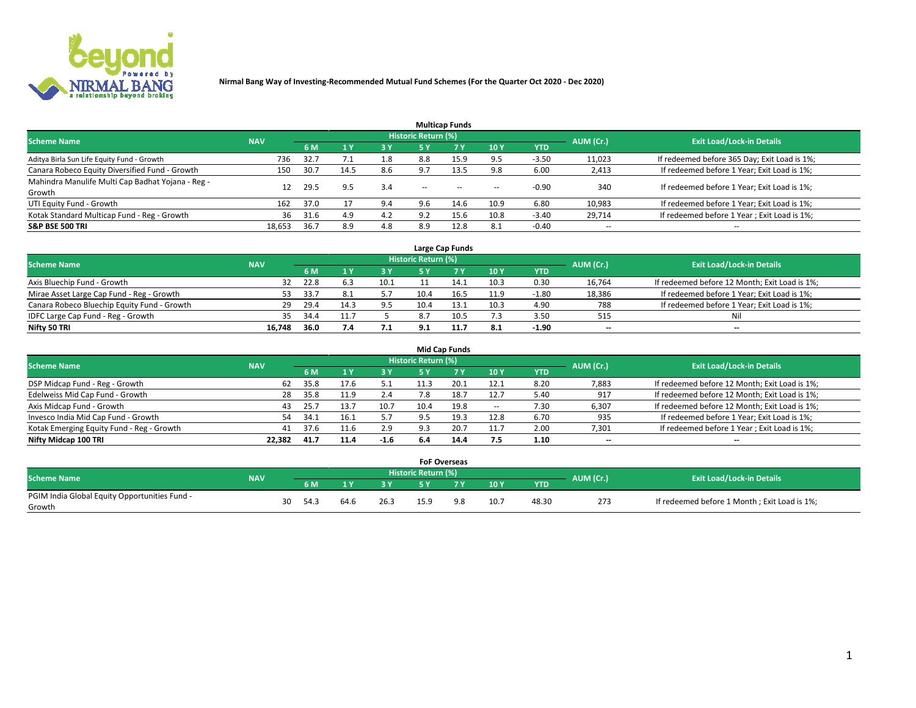

|                                                   |            |      |              |            |                            | <b>Multicap Funds</b> |       |            |                          |                                              |
|---------------------------------------------------|------------|------|--------------|------------|----------------------------|-----------------------|-------|------------|--------------------------|----------------------------------------------|
| <b>Scheme Name</b>                                | <b>NAV</b> |      |              |            | <b>Historic Return (%)</b> |                       |       |            | AUM (Cr.)                | <b>Exit Load/Lock-in Details</b>             |
|                                                   |            | 6 M  | $\sqrt{1}$ Y | <b>3 Y</b> | 5 Y                        | 7 <sub>V</sub>        | 10Y   | <b>YTD</b> |                          |                                              |
| Aditya Birla Sun Life Equity Fund - Growth        | 736        | 32.7 |              | 1.8        | 8.8                        | 15.9                  | 9.5   | $-3.50$    | 11,023                   | If redeemed before 365 Day; Exit Load is 1%; |
| Canara Robeco Equity Diversified Fund - Growth    | 150        | 30.7 | 14.5         | 8.6        | 9.7                        | 13.5                  | 9.8   | 6.00       | 2,413                    | If redeemed before 1 Year; Exit Load is 1%;  |
| Mahindra Manulife Multi Cap Badhat Yojana - Reg - | 12         | 29.5 | 9.5          | 3.4        | $\sim$                     |                       |       | $-0.90$    | 340                      | If redeemed before 1 Year; Exit Load is 1%;  |
| Growth                                            |            |      |              |            |                            | $- -$                 | $- -$ |            |                          |                                              |
| UTI Equity Fund - Growth                          | 162        | 37.0 | 17           | 9.4        | 9.6                        | 14.6                  | 10.9  | 6.80       | 10,983                   | If redeemed before 1 Year; Exit Load is 1%;  |
| Kotak Standard Multicap Fund - Reg - Growth       | 36         | 31.6 | 4.9          | 4.2        | 9.2                        | 15.6                  | 10.8  | $-3.40$    | 29,714                   | If redeemed before 1 Year; Exit Load is 1%;  |
| <b>S&amp;P BSE 500 TRI</b>                        | 18,653     | 36.7 | 8.9          | 4.8        | 8.9                        | 12.8                  | 8.1   | $-0.40$    | $\overline{\phantom{a}}$ | $-$                                          |

| Large Cap Funds                             |            |      |      |      |                     |      |      |            |           |                                               |  |  |  |
|---------------------------------------------|------------|------|------|------|---------------------|------|------|------------|-----------|-----------------------------------------------|--|--|--|
| <b>Scheme Name</b>                          | <b>NAV</b> |      |      |      | Historic Return (%) |      |      |            | AUM (Cr.) | <b>Exit Load/Lock-in Details</b>              |  |  |  |
|                                             |            | 6 M  |      | 3 Y  | 5 ۷                 |      | 10Y  | <b>YTD</b> |           |                                               |  |  |  |
| Axis Bluechip Fund - Growth                 | 32         | 22.8 | 6.3  | 10.1 |                     | 14.1 | 10.3 | 0.30       | 16,764    | If redeemed before 12 Month; Exit Load is 1%; |  |  |  |
| Mirae Asset Large Cap Fund - Reg - Growth   | 53         | 33.7 | 8.1  |      | 10.4                |      | 11.9 | $-1.80$    | 18,386    | If redeemed before 1 Year; Exit Load is 1%;   |  |  |  |
| Canara Robeco Bluechip Equity Fund - Growth | 29         | 29.4 | 14.3 | 9.5  | 10.4                | 13.1 | 10.3 | 4.90       | 788       | If redeemed before 1 Year; Exit Load is 1%;   |  |  |  |
| IDFC Large Cap Fund - Reg - Growth          | 35         | 34.4 |      |      | 8.7                 |      | 7.3  | 3.50       | 515       | Nil                                           |  |  |  |
| Nifty 50 TRI                                | 16.748     | 36.0 | 7.4  | 7.1  | 9.1                 |      | 8.1  | -1.90      | $- -$     | $- -$                                         |  |  |  |

|                                           |            |      |      |        |                     | <b>Mid Cap Funds</b> |            |            |                          |                                               |
|-------------------------------------------|------------|------|------|--------|---------------------|----------------------|------------|------------|--------------------------|-----------------------------------------------|
| <b>Scheme Name</b>                        | <b>NAV</b> |      |      |        | Historic Return (%) |                      |            |            | AUM (Cr.)                | <b>Exit Load/Lock-in Details</b>              |
|                                           |            | 6 M  |      | 3 Y    | 5 Y                 |                      | <b>10Y</b> | <b>YTD</b> |                          |                                               |
| DSP Midcap Fund - Reg - Growth            | 62         | 35.8 | 17.6 |        |                     |                      | 12.1       | 8.20       | 7,883                    | If redeemed before 12 Month; Exit Load is 1%; |
| Edelweiss Mid Cap Fund - Growth           | 28         | 35.8 | 11.9 | 2.4    |                     | 18.7                 | 12.7       | 5.40       | 917                      | If redeemed before 12 Month; Exit Load is 1%; |
| Axis Midcap Fund - Growth                 | 43         | 25.7 | 13.7 | 10.7   | 10.4                | 19.8                 | $\sim$     | 7.30       | 6,307                    | If redeemed before 12 Month; Exit Load is 1%; |
| Invesco India Mid Cap Fund - Growth       | 54         | 34.1 |      |        | 9.5                 |                      | 12.8       | 6.70       | 935                      | If redeemed before 1 Year; Exit Load is 1%;   |
| Kotak Emerging Equity Fund - Reg - Growth | 41         | 37.6 | 11.6 | 2.9    | 9.3                 | 20.                  | 11.7       | 2.00       | 7,301                    | If redeemed before 1 Year; Exit Load is 1%;   |
| Nifty Midcap 100 TRI                      | 22.382     | 41.7 | 11.4 | $-1.6$ | 6.4                 | 14.4                 | 7.5        | 1.10       | $\overline{\phantom{a}}$ | $\overline{\phantom{a}}$                      |

|                                               |            |      |      |      |                     | <b>FoF Overseas</b> |                |      |            |           |                                              |
|-----------------------------------------------|------------|------|------|------|---------------------|---------------------|----------------|------|------------|-----------|----------------------------------------------|
| <b>Scheme Name</b>                            | <b>NAV</b> |      |      |      | Historic Return (%) |                     |                |      |            | AUM (Cr.) | <b>Exit Load/Lock-in Details</b>             |
|                                               |            | 6 M  |      |      |                     | <b>EV</b>           | 7 <sub>2</sub> | 10Y  | <b>YTD</b> |           |                                              |
| PGIM India Global Equity Opportunities Fund - |            | 30   | 64.6 |      |                     |                     | 98             |      |            |           |                                              |
| Growth                                        |            | 54.3 |      | 26.3 |                     | 15.9                |                | 10.7 | 48.30      | 273       | If redeemed before 1 Month; Exit Load is 1%; |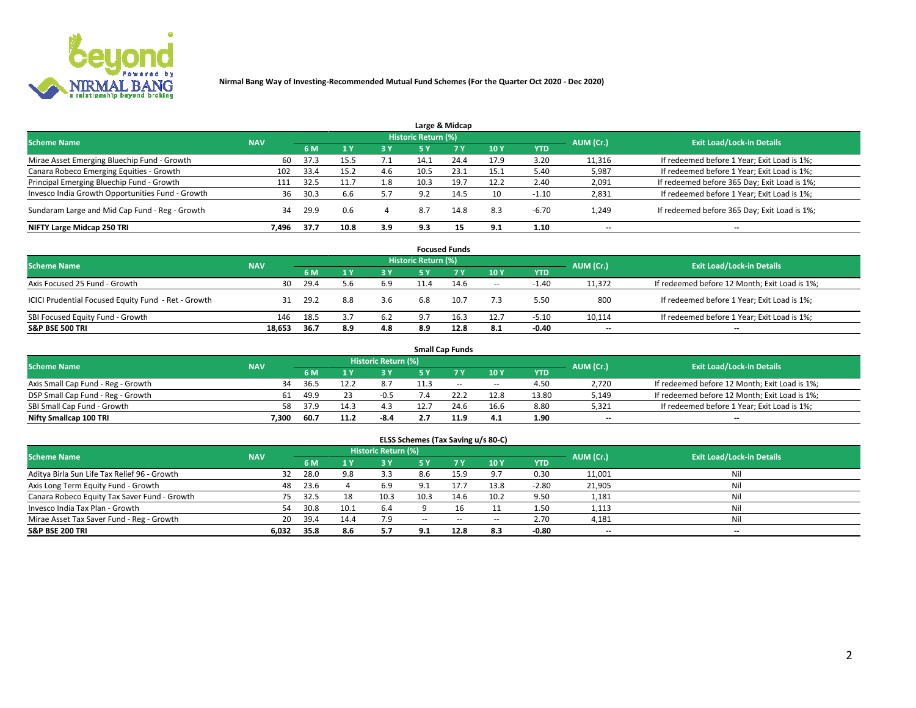

|                                                  |            |      |      |           |                     | Large & Midcap |      |            |                          |                                              |
|--------------------------------------------------|------------|------|------|-----------|---------------------|----------------|------|------------|--------------------------|----------------------------------------------|
| <b>Scheme Name</b>                               | <b>NAV</b> |      |      |           | Historic Return (%) |                |      |            | AUM (Cr.)                | <b>Exit Load/Lock-in Details</b>             |
|                                                  |            | 6 M  |      | <b>3Y</b> | 5 Y                 | 7Y             | 10Y  | <b>YTD</b> |                          |                                              |
| Mirae Asset Emerging Bluechip Fund - Growth      | 60         | 37.3 | 15.5 | 7.1       | 14.1                | 24.4           | 17.9 | 3.20       | 11,316                   | If redeemed before 1 Year; Exit Load is 1%;  |
| Canara Robeco Emerging Equities - Growth         | 102        | 33.4 | 15.2 | 4.6       | 10.5                | 23.1           | 15.1 | 5.40       | 5,987                    | If redeemed before 1 Year; Exit Load is 1%;  |
| Principal Emerging Bluechip Fund - Growth        | 111        | 32.5 |      | 1.8       | 10.3                | 19.7           | 12.2 | 2.40       | 2,091                    | If redeemed before 365 Day; Exit Load is 1%; |
| Invesco India Growth Opportunities Fund - Growth | 36         | 30.3 | b.b  |           | 9.2                 | 14.5           | 10   | $-1.10$    | 2,831                    | If redeemed before 1 Year; Exit Load is 1%;  |
| Sundaram Large and Mid Cap Fund - Reg - Growth   | 34         | 29.9 | 0.6  |           | 8.7                 | 14.8           | 8.3  | $-6.70$    | 1,249                    | If redeemed before 365 Day; Exit Load is 1%; |
| NIFTY Large Midcap 250 TRI                       | 7.496      | 37.7 | 10.8 | 3.9       | 9.3                 |                | 9.1  | 1.10       | $\overline{\phantom{a}}$ | --                                           |

|                                                     |            |      |     |            |                            | <b>Focused Funds</b> |                          |            |           |                                               |
|-----------------------------------------------------|------------|------|-----|------------|----------------------------|----------------------|--------------------------|------------|-----------|-----------------------------------------------|
| <b>Scheme Name</b>                                  | <b>NAV</b> |      |     |            | <b>Historic Return (%)</b> |                      |                          |            | AUM (Cr.) | <b>Exit Load/Lock-in Details</b>              |
|                                                     |            | 6 M  |     | <b>3 Y</b> | 5 Y                        | 7V                   | 10Y                      | <b>YTD</b> |           |                                               |
| Axis Focused 25 Fund - Growth                       | 30         | 29.4 | 5.6 | 6.9        | 11.4                       | 14.6                 | $\overline{\phantom{a}}$ | $-1.40$    | 11.372    | If redeemed before 12 Month; Exit Load is 1%; |
| ICICI Prudential Focused Equity Fund - Ret - Growth | 31         | 29.2 | 8.8 | 3.6        | 6.8                        | 10.7                 | 7.3                      | 5.50       | 800       | If redeemed before 1 Year; Exit Load is 1%;   |
| SBI Focused Equity Fund - Growth                    | 146        | 18.5 | 3.7 | 6.2        | 9.7                        | 16.3                 | 12.7                     | $-5.10$    | 10,114    | If redeemed before 1 Year; Exit Load is 1%;   |
| <b>S&amp;P BSE 500 TRI</b>                          | 18.653     | 36.7 | 8.9 | 4.8        | 8.9                        | 12.8                 | 8.1                      | $-0.40$    | --        | $- -$                                         |

|                                    |            |      |      |                            |      | <b>Small Cap Funds</b> |                          |       |           |                                               |
|------------------------------------|------------|------|------|----------------------------|------|------------------------|--------------------------|-------|-----------|-----------------------------------------------|
| <b>Scheme Name</b>                 | <b>NAV</b> |      |      | <b>Historic Return (%)</b> |      |                        |                          |       | AUM (Cr.) | <b>Exit Load/Lock-in Details</b>              |
|                                    |            | 6 M  |      | 3 Y                        |      |                        | 10Y                      | YTD   |           |                                               |
| Axis Small Cap Fund - Reg - Growth | 34         | 36.5 |      |                            |      | $- -$                  | $\overline{\phantom{a}}$ | 4.50  | 2,720     | If redeemed before 12 Month; Exit Load is 1%; |
| DSP Small Cap Fund - Reg - Growth  | 61         | 49.9 |      | $-0.5$                     |      |                        | 12.8                     | 13.80 | 5,149     | If redeemed before 12 Month; Exit Load is 1%; |
| SBI Small Cap Fund - Growth        | 58         | 37.9 | 14.3 | 4.3                        |      | 24.6                   | 16.6                     | 8.80  | 5,321     | If redeemed before 1 Year; Exit Load is 1%;   |
| Nifty Smallcap 100 TRI             | 7.300      | 60.7 | 11.2 | -8.4                       | 2. I | 11.9                   | 4.1                      | 1.90  | $- -$     | $\overline{\phantom{a}}$                      |

| <b>Scheme Name</b>                           | <b>NAV</b> |      |      | <b>Historic Return (%)</b> |        |                |        |            | AUM (Cr.)                | <b>Exit Load/Lock-in Details</b> |
|----------------------------------------------|------------|------|------|----------------------------|--------|----------------|--------|------------|--------------------------|----------------------------------|
|                                              |            | 6 M  |      | 3 Y                        | 5 Y    | 7 <sub>V</sub> | 10Y    | <b>YTD</b> |                          |                                  |
| Aditya Birla Sun Life Tax Relief 96 - Growth | 32         | 28.0 | 9.8  | 3.3                        | 8.6    | 15.9           | 9.7    | 0.30       | 11,001                   | Nil                              |
| Axis Long Term Equity Fund - Growth          | 48         | 23.6 |      | 6.9                        |        |                | 13.8   | $-2.80$    | 21,905                   | Nil                              |
| Canara Robeco Equity Tax Saver Fund - Growth | 75         | 32.5 | 18   | 10.3                       | 10.3   | 14.6           | 10.2   | 9.50       | 1,181                    | Nil                              |
| Invesco India Tax Plan - Growth              | 54         | 30.8 | 10.1 | 6.4                        |        |                |        | 1.50       | 1,113                    | Nil                              |
| Mirae Asset Tax Saver Fund - Reg - Growth    | 20         | 39.4 | 14.4 | 7.9                        | $\sim$ | $\sim$         | $\sim$ | 2.70       | 4,181                    | Nil                              |
| S&P BSE 200 TRI                              | 6,032      | 35.8 | 8.6  | 5.7                        |        | 12.8           | 8.3    | $-0.80$    | $\overline{\phantom{a}}$ | $\overline{\phantom{a}}$         |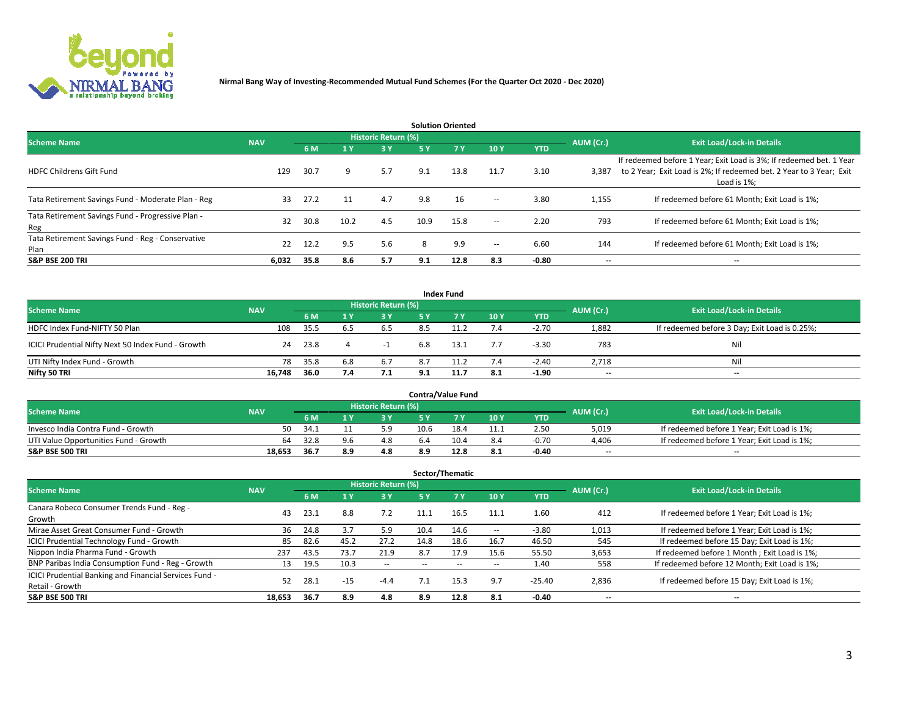

| <b>Solution Oriented</b>                                  |            |      |       |                     |      |            |                          |            |                          |                                                                                                                                                           |  |  |  |
|-----------------------------------------------------------|------------|------|-------|---------------------|------|------------|--------------------------|------------|--------------------------|-----------------------------------------------------------------------------------------------------------------------------------------------------------|--|--|--|
| <b>Scheme Name</b>                                        | <b>NAV</b> |      |       | Historic Return (%) |      |            |                          |            | AUM (Cr.)                | <b>Exit Load/Lock-in Details</b>                                                                                                                          |  |  |  |
|                                                           |            | 6 M  | $-1y$ | 3 Y                 | 5 Y  | <b>7 Y</b> | 10Y                      | <b>YTD</b> |                          |                                                                                                                                                           |  |  |  |
| <b>HDFC Childrens Gift Fund</b>                           | 129        | 30.7 | 9     | 5.7                 | 9.1  | 13.8       | 11.7                     | 3.10       | 3,387                    | If redeemed before 1 Year; Exit Load is 3%; If redeemed bet. 1 Year<br>to 2 Year; Exit Load is 2%; If redeemed bet. 2 Year to 3 Year; Exit<br>Load is 1%; |  |  |  |
| Tata Retirement Savings Fund - Moderate Plan - Reg        | 33         | 27.2 | 11    | 4.7                 | 9.8  | 16         | $\overline{\phantom{a}}$ | 3.80       | 1,155                    | If redeemed before 61 Month; Exit Load is 1%;                                                                                                             |  |  |  |
| Tata Retirement Savings Fund - Progressive Plan -<br>Reg  | 32         | 30.8 | 10.2  | 4.5                 | 10.9 | 15.8       | $\overline{\phantom{a}}$ | 2.20       | 793                      | If redeemed before 61 Month: Exit Load is 1%:                                                                                                             |  |  |  |
| Tata Retirement Savings Fund - Reg - Conservative<br>Plan | 22         | 12.2 | 9.5   | 5.6                 | 8    | 9.9        | $\overline{\phantom{a}}$ | 6.60       | 144                      | If redeemed before 61 Month; Exit Load is 1%;                                                                                                             |  |  |  |
| <b>S&amp;P BSE 200 TRI</b>                                | 6,032      | 35.8 | 8.6   | 5.7                 | 9.1  | 12.8       | 8.3                      | -0.80      | $\overline{\phantom{a}}$ | $\overline{\phantom{a}}$                                                                                                                                  |  |  |  |

| <b>Index Fund</b>                                  |            |      |     |                     |     |            |     |            |                                  |                                               |  |  |
|----------------------------------------------------|------------|------|-----|---------------------|-----|------------|-----|------------|----------------------------------|-----------------------------------------------|--|--|
| <b>Scheme Name</b>                                 | <b>NAV</b> |      |     | Historic Return (%) |     |            |     | AUM (Cr.)  | <b>Exit Load/Lock-in Details</b> |                                               |  |  |
|                                                    |            | 6 M  |     | <b>3 Y</b>          | 5 Y | <b>77V</b> | 10Y | <b>YTD</b> |                                  |                                               |  |  |
| HDFC Index Fund-NIFTY 50 Plan                      | 108        | 35.5 | 6.5 | 6.5                 | 8.5 |            | 7.4 | $-2.70$    | 1,882                            | If redeemed before 3 Day; Exit Load is 0.25%; |  |  |
| ICICI Prudential Nifty Next 50 Index Fund - Growth | 24         | 23.8 |     |                     | 6.8 | 13.1       | 7.7 | $-3.30$    | 783                              | Ni                                            |  |  |
| UTI Nifty Index Fund - Growth                      | 78         | 35.8 | 6.8 | 6.7                 | 8.7 | 11.2       | 7.4 | $-2.40$    | 2,718                            | Ni                                            |  |  |
| Nifty 50 TRI                                       | 16.748     | 36.0 | 7.4 | 7.1                 | 9.1 | 11.7       | 8.1 | -1.90      | $- -$                            | $-$                                           |  |  |

| <b>Contra/Value Fund</b>              |            |       |     |                     |            |      |      |            |                          |                                             |  |  |
|---------------------------------------|------------|-------|-----|---------------------|------------|------|------|------------|--------------------------|---------------------------------------------|--|--|
| <b>Scheme Name</b>                    | <b>NAV</b> |       |     | Historic Return (%) |            |      |      |            | AUM (Cr.)                | <b>Exit Load/Lock-in Details</b>            |  |  |
|                                       |            | 6 M   |     | 3 Y                 |            | 7 V  | 10Y  | <b>YTD</b> |                          |                                             |  |  |
| Invesco India Contra Fund - Growth    | 50         | -34.1 |     | 5.9                 | 10.6       | 18.4 | 11.1 | 2.50       | 5,019                    | If redeemed before 1 Year; Exit Load is 1%; |  |  |
| UTI Value Opportunities Fund - Growth | 64         | 32.8  | 9.6 | 4.8                 | <b>b.4</b> | 10.4 | 8.4  | $-0.70$    | 4,406                    | If redeemed before 1 Year; Exit Load is 1%; |  |  |
| <b>S&amp;P BSE 500 TRI</b>            | 18,653     | 36.7  | 8.9 | 4.8                 | 8.9        | 12.8 | 8.1  | $-0.40$    | $\overline{\phantom{a}}$ | $- -$                                       |  |  |

| Sector/Thematic                                        |            |      |                |                     |                          |        |                          |            |           |                                               |  |  |
|--------------------------------------------------------|------------|------|----------------|---------------------|--------------------------|--------|--------------------------|------------|-----------|-----------------------------------------------|--|--|
| <b>Scheme Name</b>                                     | <b>NAV</b> |      |                | Historic Return (%) |                          |        |                          |            | AUM (Cr.) | <b>Exit Load/Lock-in Details</b>              |  |  |
|                                                        |            | 6 M  | 1 <sub>Y</sub> | 3 Y                 | <b>5Y</b>                | 7 Y    | 10Y                      | <b>YTD</b> |           |                                               |  |  |
| Canara Robeco Consumer Trends Fund - Reg -             |            | 23.1 | 8.8            | 7.2                 |                          |        |                          | 1.60       | 412       |                                               |  |  |
| Growth                                                 | 43         |      |                |                     | 11.1                     | 16.5   | 11.1                     |            |           | If redeemed before 1 Year; Exit Load is 1%;   |  |  |
| Mirae Asset Great Consumer Fund - Growth               | 36         | 24.8 | 3.7            | 5.9                 | 10.4                     | 14.6   | $\overline{\phantom{a}}$ | $-3.80$    | 1,013     | If redeemed before 1 Year; Exit Load is 1%;   |  |  |
| <b>ICICI Prudential Technology Fund - Growth</b>       | 85         | 82.6 | 45.2           | 27.2                | 14.8                     | 18.6   | 16.7                     | 46.50      | 545       | If redeemed before 15 Day; Exit Load is 1%;   |  |  |
| Nippon India Pharma Fund - Growth                      | 237        | 43.5 | 73.7           | 21.9                | 8.7                      | 17.9   | 15.6                     | 55.50      | 3,653     | If redeemed before 1 Month; Exit Load is 1%;  |  |  |
| BNP Paribas India Consumption Fund - Reg - Growth      | 13         | 19.5 | 10.3           | $\sim$              | $\overline{\phantom{a}}$ | $\sim$ | $\overline{\phantom{a}}$ | 1.40       | 558       | If redeemed before 12 Month; Exit Load is 1%; |  |  |
| ICICI Prudential Banking and Financial Services Fund - | 52         | 28.1 | $-15$          |                     |                          | 15.3   | 9.7                      | $-25.40$   |           |                                               |  |  |
| Retail - Growth                                        |            |      |                | $-4.4$              |                          |        |                          |            | 2,836     | If redeemed before 15 Day; Exit Load is 1%;   |  |  |
| <b>S&amp;P BSE 500 TRI</b>                             | 18.653     | 36.7 | 8.9            | 4.8                 | 8.9                      | 12.8   | 8.1                      | -0.40      | --        | $- -$                                         |  |  |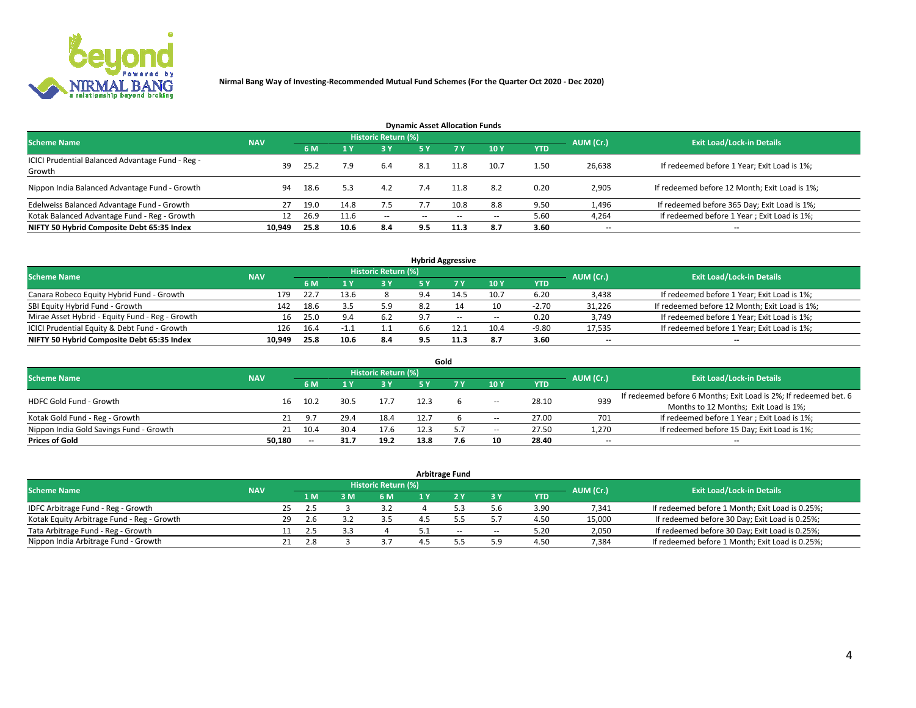

| <b>Dynamic Asset Allocation Funds</b>                      |            |      |      |                     |               |           |       |            |           |                                               |  |  |  |  |
|------------------------------------------------------------|------------|------|------|---------------------|---------------|-----------|-------|------------|-----------|-----------------------------------------------|--|--|--|--|
| <b>Scheme Name</b>                                         | <b>NAV</b> |      |      | Historic Return (%) |               |           |       |            | AUM (Cr.) | <b>Exit Load/Lock-in Details</b>              |  |  |  |  |
|                                                            |            | 6 M  |      | 3 Y                 | <b>5Y</b>     | <b>7Y</b> | 10Y   | <b>YTD</b> |           |                                               |  |  |  |  |
| ICICI Prudential Balanced Advantage Fund - Reg -<br>Growth | 39         | 25.2 | 7.9  | 6.4                 | 8.1           |           | 10.7  | 1.50       | 26,638    | If redeemed before 1 Year; Exit Load is 1%;   |  |  |  |  |
| Nippon India Balanced Advantage Fund - Growth              | 94         | 18.6 | 5.3  | 4.2                 | 7.4           | 11.8      | 8.2   | 0.20       | 2,905     | If redeemed before 12 Month; Exit Load is 1%; |  |  |  |  |
| Edelweiss Balanced Advantage Fund - Growth                 | 27         | 19.0 | 14.8 | 7.5                 |               | 10.8      | 8.8   | 9.50       | 1,496     | If redeemed before 365 Day; Exit Load is 1%;  |  |  |  |  |
| Kotak Balanced Advantage Fund - Reg - Growth               | 12         | 26.9 | 11.6 | $\sim$              | $\sim$ $\sim$ | $-$       | $- -$ | 5.60       | 4,264     | If redeemed before 1 Year; Exit Load is 1%;   |  |  |  |  |
| NIFTY 50 Hybrid Composite Debt 65:35 Index                 | 10,949     | 25.8 | 10.6 | 8.4                 | 9.5           | 11.3      | 8.7   | 3.60       | --        | --                                            |  |  |  |  |

| <b>Hybrid Aggressive</b>                        |            |           |                                  |     |     |        |                          |            |        |                                               |  |  |  |
|-------------------------------------------------|------------|-----------|----------------------------------|-----|-----|--------|--------------------------|------------|--------|-----------------------------------------------|--|--|--|
| <b>Scheme Name</b>                              | <b>NAV</b> | AUM (Cr.) | <b>Exit Load/Lock-in Details</b> |     |     |        |                          |            |        |                                               |  |  |  |
|                                                 |            | 6 M       |                                  | 3V  | 5 ۷ |        | 10Y                      | <b>YTD</b> |        |                                               |  |  |  |
| Canara Robeco Equity Hybrid Fund - Growth       | 179        | 22.7      | 13.6                             |     | 9.4 | 14.5   | 10.7                     | 6.20       | 3,438  | If redeemed before 1 Year; Exit Load is 1%;   |  |  |  |
| SBI Equity Hybrid Fund - Growth                 | 142        | 18.6      |                                  | 5.9 | 8.2 |        | 10                       | $-2.70$    | 31,226 | If redeemed before 12 Month; Exit Load is 1%; |  |  |  |
| Mirae Asset Hybrid - Equity Fund - Reg - Growth | 16         | 25.0      | 9.4                              | 6.2 | 9.7 | $\sim$ | $\overline{\phantom{a}}$ | 0.20       | 3,749  | If redeemed before 1 Year; Exit Load is 1%;   |  |  |  |
| ICICI Prudential Equity & Debt Fund - Growth    | 126        | 16.4      | -1.1                             | 1.1 | b.b | 12.1   | 10.4                     | $-9.80$    | 17,535 | If redeemed before 1 Year; Exit Load is 1%;   |  |  |  |
| NIFTY 50 Hybrid Composite Debt 65:35 Index      | 10,949     | 25.8      | 10.6                             | 8.4 | 9.5 | 11.3   | 8.7                      | 3.60       | $- -$  | $\overline{\phantom{a}}$                      |  |  |  |

|                                         |            |      |      |                            |      | Gold |       |            |           |                                                                  |
|-----------------------------------------|------------|------|------|----------------------------|------|------|-------|------------|-----------|------------------------------------------------------------------|
| <b>Scheme Name</b>                      | <b>NAV</b> |      |      | <b>Historic Return (%)</b> |      |      |       |            | AUM (Cr.) | <b>Exit Load/Lock-in Details</b>                                 |
|                                         |            | 6 M  |      | 3 Y                        | 5 ٧  |      | 10Y   | <b>YTD</b> |           |                                                                  |
| <b>HDFC Gold Fund - Growth</b>          | 16         | 10.2 | 30.5 | 17.7                       |      |      |       | 28.10      | 939       | If redeemed before 6 Months; Exit Load is 2%; If redeemed bet. 6 |
|                                         |            |      |      |                            |      |      | --    |            |           | Months to 12 Months; Exit Load is 1%;                            |
| Kotak Gold Fund - Reg - Growth          |            | 9.7  | 29.4 | 18.4                       |      |      | -     | 27.00      | 701       | If redeemed before 1 Year; Exit Load is 1%;                      |
| Nippon India Gold Savings Fund - Growth | 21         | 10.4 | 30.4 | 17.6                       | 12.3 | -5.7 | $\!-$ | 27.50      | 1,270     | If redeemed before 15 Day; Exit Load is 1%;                      |
| <b>Prices of Gold</b>                   | 50.180     | $-$  | 31.7 | 19.2                       | 13.8 | 7.6  | 10    | 28.40      | --        | $\overline{\phantom{a}}$                                         |

| <b>Arbitrage Fund</b>                      |            |                                  |     |     |     |     |     |     |            |        |                                                 |  |  |  |
|--------------------------------------------|------------|----------------------------------|-----|-----|-----|-----|-----|-----|------------|--------|-------------------------------------------------|--|--|--|
| <b>Scheme Name</b>                         | AUM (Cr.)  | <b>Exit Load/Lock-in Details</b> |     |     |     |     |     |     |            |        |                                                 |  |  |  |
|                                            | <b>NAV</b> |                                  | 1 M | : M | 6 M | 1 Y |     | 3 Y | <b>YTD</b> |        |                                                 |  |  |  |
| IDFC Arbitrage Fund - Reg - Growth         |            | 25                               | 2.5 |     |     |     |     |     | 3.90       | 7,341  | If redeemed before 1 Month; Exit Load is 0.25%; |  |  |  |
| Kotak Equity Arbitrage Fund - Reg - Growth |            | 29                               | 2.6 |     |     |     |     |     | 4.50       | 15,000 | If redeemed before 30 Day; Exit Load is 0.25%;  |  |  |  |
| Tata Arbitrage Fund - Reg - Growth         |            |                                  |     |     |     |     | $-$ | --  | 5.20       | 2,050  | If redeemed before 30 Day; Exit Load is 0.25%;  |  |  |  |
| Nippon India Arbitrage Fund - Growth       |            | 21                               | 2.8 |     |     |     |     | 5.9 | 4.50       | 7.384  | If redeemed before 1 Month; Exit Load is 0.25%; |  |  |  |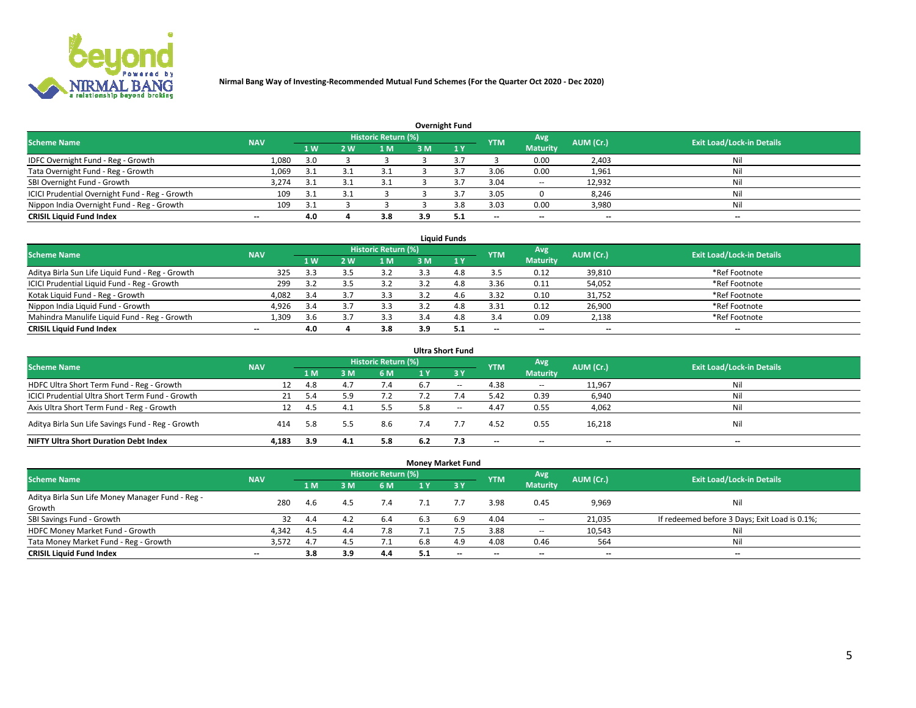

|                                                |                          |     |     |                            |     | <b>Overnight Fund</b> |                          |                 |                          |                                  |
|------------------------------------------------|--------------------------|-----|-----|----------------------------|-----|-----------------------|--------------------------|-----------------|--------------------------|----------------------------------|
| <b>Scheme Name</b>                             | <b>NAV</b>               |     |     | <b>Historic Return (%)</b> |     |                       | <b>YTM</b>               | Avg             | AUM (Cr.)                | <b>Exit Load/Lock-in Details</b> |
|                                                |                          | 1W  | 2 W | 1 M                        | 3 M | $-1V$                 |                          | <b>Maturity</b> |                          |                                  |
| IDFC Overnight Fund - Reg - Growth             | 1,080                    | 3.0 |     |                            |     |                       |                          | 0.00            | 2,403                    | Nil                              |
| Tata Overnight Fund - Reg - Growth             | 1,069                    | 3.1 |     | 3.1                        |     |                       | 3.06                     | 0.00            | 1,961                    | Nil                              |
| SBI Overnight Fund - Growth                    | 3,274                    | 3.1 |     |                            |     |                       | 3.04                     | $\sim$          | 12,932                   | Nil                              |
| ICICI Prudential Overnight Fund - Reg - Growth | 109                      | 3.1 |     |                            |     |                       | 3.05                     |                 | 8,246                    | Nil                              |
| Nippon India Overnight Fund - Reg - Growth     | 109                      | 3.1 |     |                            |     |                       | 3.03                     | 0.00            | 3,980                    | Nil                              |
| <b>CRISIL Liquid Fund Index</b>                | $\overline{\phantom{a}}$ | 4.0 |     | 3.8                        | 3.9 | -5.1                  | $\overline{\phantom{a}}$ | $-$             | $\overline{\phantom{a}}$ | $-$                              |

| <b>Liquid Funds</b>                              |                          |     |     |                            |     |     |            |                          |                          |                                  |  |  |  |  |
|--------------------------------------------------|--------------------------|-----|-----|----------------------------|-----|-----|------------|--------------------------|--------------------------|----------------------------------|--|--|--|--|
| <b>Scheme Name</b>                               | <b>NAV</b>               |     |     | <b>Historic Return (%)</b> |     |     | <b>YTM</b> | Avg                      | AUM (Cr.)                | <b>Exit Load/Lock-in Details</b> |  |  |  |  |
|                                                  |                          | 1 W | 2 W | l M                        | 3 M | 1Y  |            | <b>Maturity</b>          |                          |                                  |  |  |  |  |
| Aditya Birla Sun Life Liquid Fund - Reg - Growth | 325                      | 3.3 |     | 3.2                        |     | 4.8 | 3.5        | 0.12                     | 39,810                   | *Ref Footnote                    |  |  |  |  |
| ICICI Prudential Liquid Fund - Reg - Growth      | 299                      | 3.2 | 3.5 | 3.2                        |     | 4.8 | 3.36       | 0.11                     | 54,052                   | *Ref Footnote                    |  |  |  |  |
| Kotak Liquid Fund - Reg - Growth                 | 4,082                    | 3.4 |     |                            |     | 4.6 | 3.32       | 0.10                     | 31,752                   | *Ref Footnote                    |  |  |  |  |
| Nippon India Liquid Fund - Growth                | 4,926                    | 3.4 |     |                            |     | 4.8 | 3.31       | 0.12                     | 26,900                   | *Ref Footnote                    |  |  |  |  |
| Mahindra Manulife Liquid Fund - Reg - Growth     | 1.309                    | 3.6 |     | 3.3                        | 3.4 | 4.8 | 3.4        | 0.09                     | 2,138                    | *Ref Footnote                    |  |  |  |  |
| <b>CRISIL Liquid Fund Index</b>                  | $\overline{\phantom{a}}$ | 4.0 |     | 3.8                        | 3.9 | 5.1 | --         | $\overline{\phantom{a}}$ | $\overline{\phantom{a}}$ | $-$                              |  |  |  |  |

|                                                   |            |      |     |                            |     | <b>Ultra Short Fund</b> |                          |                          |           |                                  |
|---------------------------------------------------|------------|------|-----|----------------------------|-----|-------------------------|--------------------------|--------------------------|-----------|----------------------------------|
| <b>Scheme Name</b>                                | <b>NAV</b> |      |     | <b>Historic Return (%)</b> |     |                         | <b>YTM</b>               | Avg                      | AUM (Cr.) | <b>Exit Load/Lock-in Details</b> |
|                                                   |            | 1 M  | 3 M | 6 M                        | 1 Y | $\angle$ 3 $\vee$       |                          | <b>Maturity</b>          |           |                                  |
| HDFC Ultra Short Term Fund - Reg - Growth         | 12         | 4.8  | 4.7 | 7.4                        | 6.7 | $\sim$                  | 4.38                     | $\sim$                   | 11,967    | Nil                              |
| ICICI Prudential Ultra Short Term Fund - Growth   | 21         | 5.4  |     | 7.2                        |     |                         | 5.42                     | 0.39                     | 6,940     | Nil                              |
| Axis Ultra Short Term Fund - Reg - Growth         |            | -4.5 | 4.1 | 5.5                        | 5.8 | $- -$                   | 4.47                     | 0.55                     | 4,062     | Nil                              |
| Aditya Birla Sun Life Savings Fund - Reg - Growth | 414        | 5.8  |     | 8.6                        | 7.4 |                         | 4.52                     | 0.55                     | 16,218    | Nil                              |
| <b>NIFTY Ultra Short Duration Debt Index</b>      | 4.183      | 3.9  | 4.1 | 5.8                        | 6.2 | 7.3                     | $\overline{\phantom{a}}$ | $\overline{\phantom{a}}$ | --        | $\overline{\phantom{a}}$         |

|                                                  |            |     |     |                            | <b>Money Market Fund</b> |           |                          |                 |           |                                               |
|--------------------------------------------------|------------|-----|-----|----------------------------|--------------------------|-----------|--------------------------|-----------------|-----------|-----------------------------------------------|
| <b>Scheme Name</b>                               | <b>NAV</b> |     |     | <b>Historic Return (%)</b> |                          |           | <b>YTM</b>               | Avg             | AUM (Cr.) | <b>Exit Load/Lock-in Details</b>              |
|                                                  |            | 1 M | 3 M | 6 M                        | 1 Y                      | <b>3Y</b> |                          | <b>Maturity</b> |           |                                               |
| Aditya Birla Sun Life Money Manager Fund - Reg - | 280        | 4.6 | 4.5 | 7.4                        |                          |           | 3.98                     | 0.45            | 9,969     | Nil                                           |
| Growth                                           |            |     |     |                            |                          |           |                          |                 |           |                                               |
| SBI Savings Fund - Growth                        | 32         | 4.4 | 4.2 | 6.4                        | 6.3                      | 6.9       | 4.04                     | $\sim$          | 21,035    | If redeemed before 3 Days; Exit Load is 0.1%; |
| HDFC Money Market Fund - Growth                  | 4,342      | 4.5 | 4.4 | 7.8                        |                          |           | 3.88                     | $\sim$          | 10,543    | Nil                                           |
| Tata Money Market Fund - Reg - Growth            | 3,572      | 4.7 | 4.5 | 7.1                        | 6.8                      | 4.9       | 4.08                     | 0.46            | 564       | Nil                                           |
| <b>CRISIL Liquid Fund Index</b>                  | $- -$      | 3.8 | 3.9 | 4.4                        | 5.1                      | $-$       | $\overline{\phantom{a}}$ | $-$             | $- -$     | $-$                                           |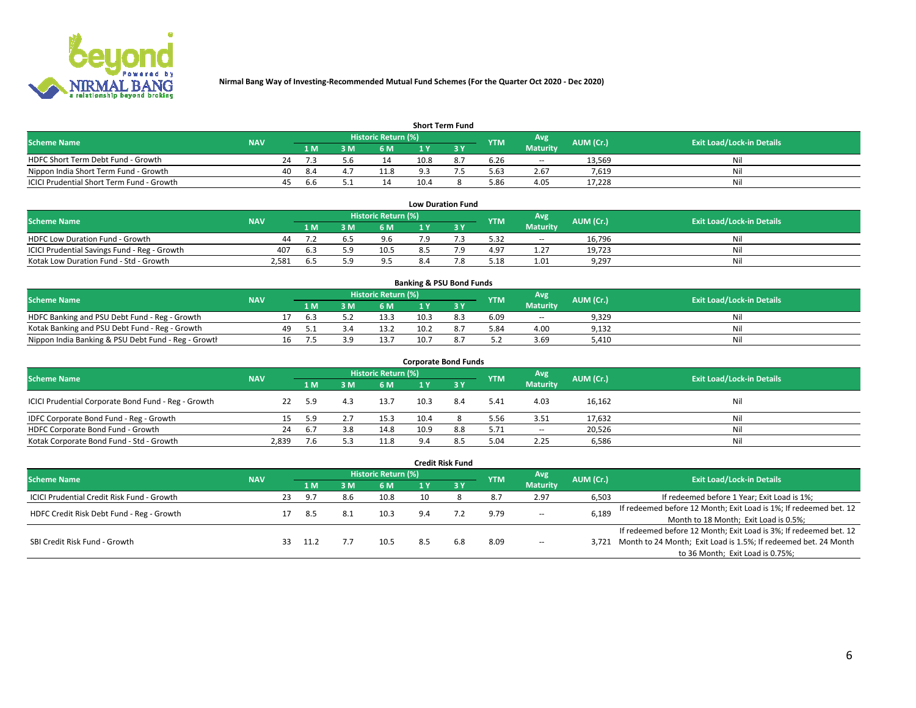

| <b>Short Term Fund</b>                    |            |    |      |      |                            |      |  |            |                 |           |                                  |  |  |  |
|-------------------------------------------|------------|----|------|------|----------------------------|------|--|------------|-----------------|-----------|----------------------------------|--|--|--|
| <b>Scheme Name</b>                        | <b>NAV</b> |    |      |      | <b>Historic Return (%)</b> |      |  | <b>YTM</b> | Avg             | AUM (Cr.) | <b>Exit Load/Lock-in Details</b> |  |  |  |
|                                           |            |    | 1 M. | 3 M  | 6 M                        | 1 V  |  |            | <b>Maturity</b> |           |                                  |  |  |  |
| HDFC Short Term Debt Fund - Growth        |            | 24 |      |      |                            | 10.8 |  | 6.26       | $\sim$          | 13.569    | Nil                              |  |  |  |
| Nippon India Short Term Fund - Growth     |            | 40 | -8.4 | 4. . | 11.8                       |      |  | 5.63       | 2.67            | 7.619     | Nil                              |  |  |  |
| ICICI Prudential Short Term Fund - Growth |            | 45 | b.b  |      |                            | 10.4 |  | 5.86       | 4.05            | 17.228    | Nil                              |  |  |  |

| <b>Low Duration Fund</b>                     |            |     |  |                                  |     |  |            |                 |           |                                  |  |  |  |
|----------------------------------------------|------------|-----|--|----------------------------------|-----|--|------------|-----------------|-----------|----------------------------------|--|--|--|
| <b>Scheme Name</b>                           | <b>NAV</b> |     |  | Historic Return (%) <sup> </sup> |     |  | <b>YTM</b> | Avg             | AUM (Cr.) | <b>Exit Load/Lock-in Details</b> |  |  |  |
|                                              |            | 1 M |  | 6 M                              |     |  |            | <b>Maturity</b> |           |                                  |  |  |  |
| HDFC Low Duration Fund - Growth              | 44         |     |  | 9.6                              | 7 Q |  | 5.32       | $\sim$          | 16.796    | Nil                              |  |  |  |
| ICICI Prudential Savings Fund - Reg - Growth | 407        | 6.3 |  | 10.5                             |     |  | 4.97       | 1.27            | 19,723    | Nil                              |  |  |  |
| Kotak Low Duration Fund - Std - Growth       | 2,581      | b   |  | 9.5                              | 8.4 |  | 5.18       | 1.01            | 9,297     | Nil                              |  |  |  |

| <b>Banking &amp; PSU Bond Funds</b>                 |            |    |     |  |                     |      |  |            |                 |           |                                  |  |  |  |
|-----------------------------------------------------|------------|----|-----|--|---------------------|------|--|------------|-----------------|-----------|----------------------------------|--|--|--|
| <b>Scheme Name</b>                                  | <b>NAV</b> |    |     |  | Historic Return (%) |      |  | <b>YTM</b> | Avg             | AUM (Cr.) | <b>Exit Load/Lock-in Details</b> |  |  |  |
|                                                     |            |    | 1 M |  | 6 M                 |      |  |            | <b>Maturity</b> |           |                                  |  |  |  |
| HDFC Banking and PSU Debt Fund - Reg - Growth       |            |    | h.3 |  | 13.3                | 10.3 |  | 6.09       | $\sim$          | 9,329     | Nil                              |  |  |  |
| Kotak Banking and PSU Debt Fund - Reg - Growth      |            | 49 |     |  | 13.2                | 10.2 |  | 5.84       | 4.00            | 9,132     | Nil                              |  |  |  |
| Nippon India Banking & PSU Debt Fund - Reg - Growth |            | 16 |     |  | 13.7                | 10.7 |  | 5.2        | 3.69            | 5.410     | Nil                              |  |  |  |

| <b>Corporate Bond Funds</b>                         |            |           |     |                     |                |     |            |                 |           |                                  |  |
|-----------------------------------------------------|------------|-----------|-----|---------------------|----------------|-----|------------|-----------------|-----------|----------------------------------|--|
| <b>Scheme Name</b>                                  | <b>NAV</b> |           |     | Historic Return (%) |                |     | <b>YTM</b> | Avg             | AUM (Cr.) | <b>Exit Load/Lock-in Details</b> |  |
|                                                     |            | 1 M       | ١M  | 6 M                 |                |     |            | <b>Maturity</b> |           |                                  |  |
| ICICI Prudential Corporate Bond Fund - Reg - Growth |            | 5.9       |     | 13.7                | 10.3           | 8.4 | 5.41       | 4.03            | 16,162    | Nil                              |  |
| IDFC Corporate Bond Fund - Reg - Growth             |            | 5.9       |     | 15.3                | 10.4           |     | 5.56       | 3.51            | 17,632    | Nil                              |  |
| HDFC Corporate Bond Fund - Growth                   |            | 24<br>6.7 | 3.8 | 14.8                | 10.9           | 8.8 | 5.71       | $- -$           | 20,526    | Nil                              |  |
| Kotak Corporate Bond Fund - Std - Growth            | 2.839      | 7.6       |     | 11.8                | 9 <sub>4</sub> | 8.5 | 5.04       | 2.25            | 6,586     | Nil                              |  |

|                                            |            |    |      |                                                                 |                            |                                       | <b>Credit Risk Fund</b> |            |                          |           |                                                                       |
|--------------------------------------------|------------|----|------|-----------------------------------------------------------------|----------------------------|---------------------------------------|-------------------------|------------|--------------------------|-----------|-----------------------------------------------------------------------|
| <b>Scheme Name</b>                         | <b>NAV</b> |    |      |                                                                 | <b>Historic Return (%)</b> |                                       |                         | <b>YTM</b> | Avg.<br><b>Maturity</b>  | AUM (Cr.) | <b>Exit Load/Lock-in Details</b>                                      |
|                                            |            |    | 1 M  | 8 M                                                             | 6 M                        |                                       | <b>3Y</b>               |            |                          |           |                                                                       |
| ICICI Prudential Credit Risk Fund - Growth |            | 23 | 9.7  | 8.6                                                             | 10.8                       | 10                                    |                         | 8.7        | 2.97                     | 6,503     | If redeemed before 1 Year; Exit Load is 1%;                           |
| HDFC Credit Risk Debt Fund - Reg - Growth  |            |    |      | 9.79<br>-8.1<br>10.3<br>-8.5<br>9.4<br>$\overline{\phantom{a}}$ |                            |                                       |                         |            |                          | 6,189     | If redeemed before 12 Month; Exit Load is 1%; If redeemed bet. 12     |
|                                            |            |    |      |                                                                 |                            | Month to 18 Month; Exit Load is 0.5%; |                         |            |                          |           |                                                                       |
| SBI Credit Risk Fund - Growth              |            |    |      |                                                                 |                            |                                       |                         |            |                          |           | If redeemed before 12 Month; Exit Load is 3%; If redeemed bet. 12     |
|                                            |            |    | 11.2 |                                                                 | 10.5                       | 8.5                                   | 6.8                     | 8.09       | $\overline{\phantom{a}}$ |           | 3,721 Month to 24 Month; Exit Load is 1.5%; If redeemed bet. 24 Month |
|                                            |            |    |      |                                                                 |                            |                                       |                         |            |                          |           | to 36 Month; Exit Load is 0.75%;                                      |